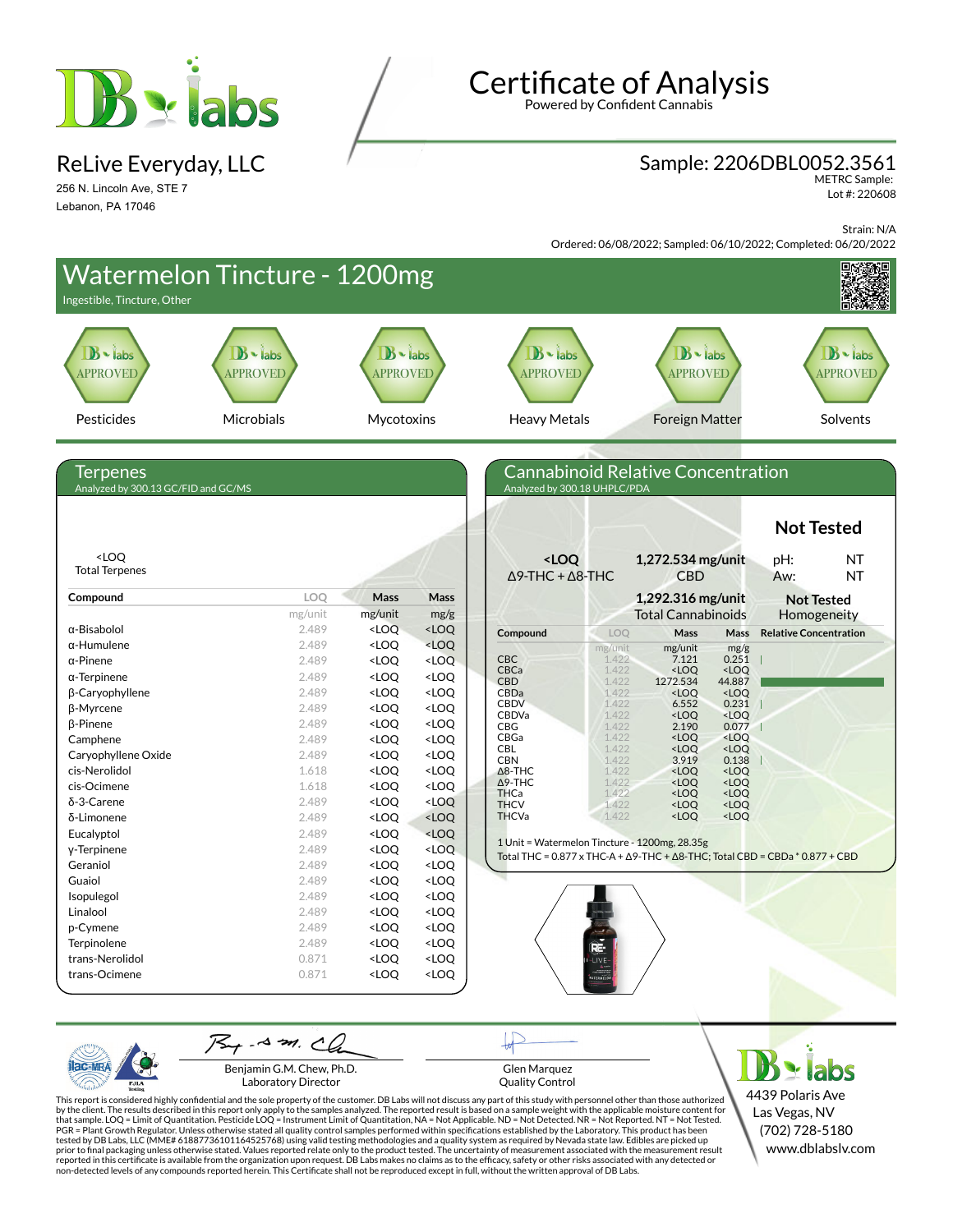

ReLive Everyday, LLC

256 N. Lincoln Ave, STE 7 Lebanon, PA 17046

# **Certificate of Analysis**

Powered by Confident Cannabis

### Sample: 2206DBL0052.3561

METRC Sample: Lot #: 220608

Strain: N/A

Ordered: 06/08/2022; Sampled: 06/10/2022; Completed: 06/20/2022



PJL/

Benjamin G.M. Chew, Ph.D. Laboratory Director

Glen Marquez Quality Control

4439 Polaris Ave Las Vegas, NV (702) 728-5180 www.dblabslv.com

This report is considered highly confidential and the sole property of the customer. DB Labs will not discuss any part of this study with personnel other than those authorized<br>by the client. The results described in this r tested by DB Labs, LLC (MME# 61887736101164525768) using valid testing methodologies and a quality system as required by Nevada state law. Edibles are picked up<br>prior to final packaging unless otherwise stated. Values repo reported in this certificate is available from the organization upon request. DB Labs makes no claims as to the efficacy, safety or other risks associated with any detected or<br>non-detected levels of any compounds reported